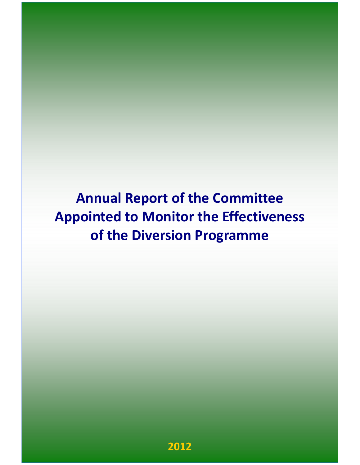Annual Report of the Committee Appointed to Monitor the Effectiveness of the Diversion Programme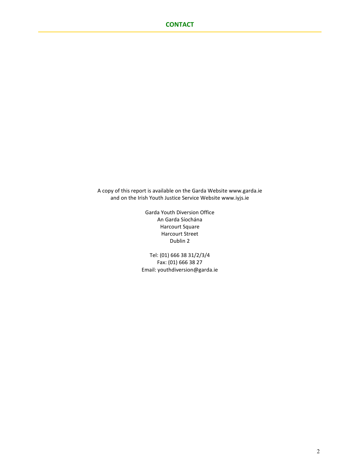A copy of this report is available on the Garda Website www.garda.ie and on the Irish Youth Justice Service Website www.iyjs.ie

> Garda Youth Diversion Office An Garda Síochána Harcourt Square Harcourt Street Dublin 2

Tel: (01) 666 38 31/2/3/4 Fax: (01) 666 38 27 Email: youthdiversion@garda.ie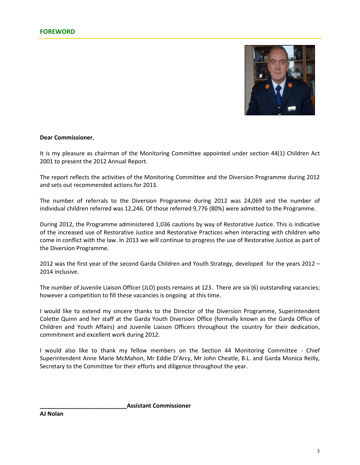

### Dear Commissioner,

It is my pleasure as chairman of the Monitoring Committee appointed under section 44(1) Children Act 2001 to present the 2012 Annual Report.

The report reflects the activities of the Monitoring Committee and the Diversion Programme during 2012 and sets out recommended actions for 2013.

The number of referrals to the Diversion Programme during 2012 was 24,069 and the number of individual children referred was 12,246. Of those referred 9,776 (80%) were admitted to the Programme.

During 2012, the Programme administered 1,036 cautions by way of Restorative Justice. This is indicative of the increased use of Restorative Justice and Restorative Practices when interacting with children who come in conflict with the law. In 2013 we will continue to progress the use of Restorative Justice as part of the Diversion Programme.

2012 was the first year of the second Garda Children and Youth Strategy, developed for the years 2012 – 2014 inclusive.

The number of Juvenile Liaison Officer (JLO) posts remains at 123. There are six (6) outstanding vacancies; however a competition to fill these vacancies is ongoing at this time.

I would like to extend my sincere thanks to the Director of the Diversion Programme, Superintendent Colette Quinn and her staff at the Garda Youth Diversion Office (formally known as the Garda Office of Children and Youth Affairs) and Juvenile Liaison Officers throughout the country for their dedication, commitment and excellent work during 2012.

I would also like to thank my fellow members on the Section 44 Monitoring Committee - Chief Superintendent Anne Marie McMahon, Mr Eddie D'Arcy, Mr John Cheatle, B.L. and Garda Monica Reilly, Secretary to the Committee for their efforts and diligence throughout the year.

\_\_\_\_\_\_\_\_\_\_\_\_\_\_\_\_\_\_\_\_\_\_\_\_\_\_\_Assistant Commissioner

AJ Nolan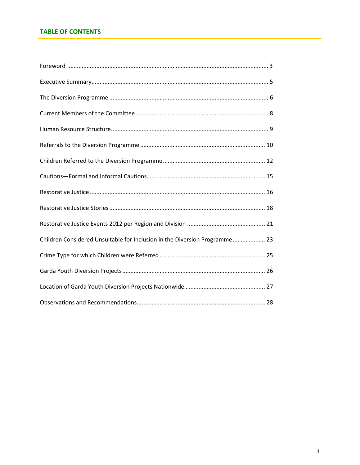# **TABLE OF CONTENTS**

| Children Considered Unsuitable for Inclusion in the Diversion Programme 23 |
|----------------------------------------------------------------------------|
|                                                                            |
|                                                                            |
|                                                                            |
|                                                                            |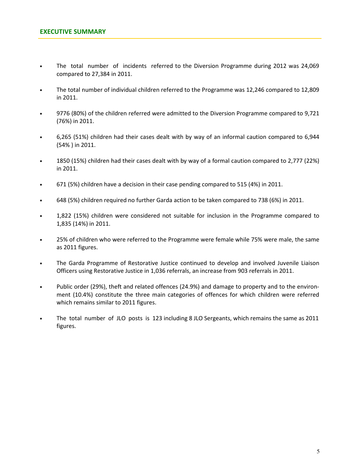- The total number of incidents referred to the Diversion Programme during 2012 was 24,069 compared to 27,384 in 2011.
- The total number of individual children referred to the Programme was 12,246 compared to 12,809 in 2011.
- 9776 (80%) of the children referred were admitted to the Diversion Programme compared to 9,721 (76%) in 2011.
- 6,265 (51%) children had their cases dealt with by way of an informal caution compared to 6,944 (54% ) in 2011.
- 1850 (15%) children had their cases dealt with by way of a formal caution compared to 2,777 (22%) in 2011.
- 671 (5%) children have a decision in their case pending compared to 515 (4%) in 2011.
- 648 (5%) children required no further Garda action to be taken compared to 738 (6%) in 2011.
- 1,822 (15%) children were considered not suitable for inclusion in the Programme compared to 1,835 (14%) in 2011.
- 25% of children who were referred to the Programme were female while 75% were male, the same as 2011 figures.
- The Garda Programme of Restorative Justice continued to develop and involved Juvenile Liaison Officers using Restorative Justice in 1,036 referrals, an increase from 903 referrals in 2011.
- Public order (29%), theft and related offences (24.9%) and damage to property and to the environment (10.4%) constitute the three main categories of offences for which children were referred which remains similar to 2011 figures.
- The total number of JLO posts is 123 including 8 JLO Sergeants, which remains the same as 2011 figures.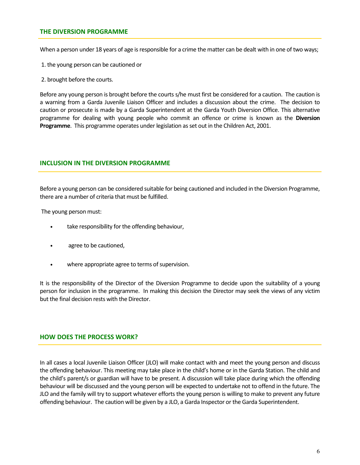## THE DIVERSION PROGRAMME

When a person under 18 years of age is responsible for a crime the matter can be dealt with in one of two ways;

- 1. the young person can be cautioned or
- 2. brought before the courts.

Before any young person is brought before the courts s/he must first be considered for a caution. The caution is a warning from a Garda Juvenile Liaison Officer and includes a discussion about the crime. The decision to caution or prosecute is made by a Garda Superintendent at the Garda Youth Diversion Office. This alternative programme for dealing with young people who commit an offence or crime is known as the Diversion Programme. This programme operates under legislation as set out in the Children Act, 2001.

### INCLUSION IN THE DIVERSION PROGRAMME

Before a young person can be considered suitable for being cautioned and included in the Diversion Programme, there are a number of criteria that must be fulfilled.

The young person must:

- take responsibility for the offending behaviour,
- agree to be cautioned,
- where appropriate agree to terms of supervision.

It is the responsibility of the Director of the Diversion Programme to decide upon the suitability of a young person for inclusion in the programme. In making this decision the Director may seek the views of any victim but the final decision rests with the Director.

### HOW DOES THE PROCESS WORK?

In all cases a local Juvenile Liaison Officer (JLO) will make contact with and meet the young person and discuss the offending behaviour. This meeting may take place in the child's home or in the Garda Station. The child and the child's parent/s or guardian will have to be present. A discussion will take place during which the offending behaviour will be discussed and the young person will be expected to undertake not to offend in the future. The JLO and the family will try to support whatever efforts the young person is willing to make to prevent any future offending behaviour. The caution will be given by a JLO, a Garda Inspector or the Garda Superintendent.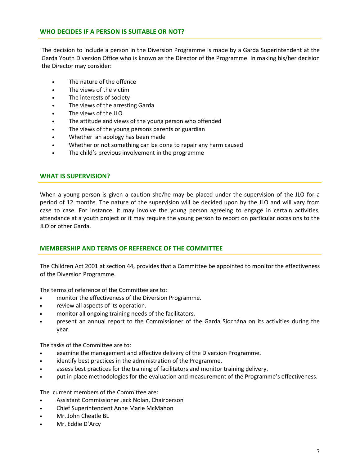# WHO DECIDES IF A PERSON IS SUITABLE OR NOT?

The decision to include a person in the Diversion Programme is made by a Garda Superintendent at the Garda Youth Diversion Office who is known as the Director of the Programme. In making his/her decision the Director may consider:

- The nature of the offence
- The views of the victim
- The interests of society
- The views of the arresting Garda
- The views of the JLO
- The attitude and views of the young person who offended
- The views of the young persons parents or guardian
- Whether an apology has been made
- Whether or not something can be done to repair any harm caused
- The child's previous involvement in the programme

## WHAT IS SUPERVISION?

When a young person is given a caution she/he may be placed under the supervision of the JLO for a period of 12 months. The nature of the supervision will be decided upon by the JLO and will vary from case to case. For instance, it may involve the young person agreeing to engage in certain activities, attendance at a youth project or it may require the young person to report on particular occasions to the JLO or other Garda.

## MEMBERSHIP AND TERMS OF REFERENCE OF THE COMMITTEE

The Children Act 2001 at section 44, provides that a Committee be appointed to monitor the effectiveness of the Diversion Programme.

The terms of reference of the Committee are to:

- monitor the effectiveness of the Diversion Programme.
- review all aspects of its operation.
- monitor all ongoing training needs of the facilitators.
- present an annual report to the Commissioner of the Garda Síochána on its activities during the year.

The tasks of the Committee are to:

- examine the management and effective delivery of the Diversion Programme.
- identify best practices in the administration of the Programme.
- assess best practices for the training of facilitators and monitor training delivery.
- put in place methodologies for the evaluation and measurement of the Programme's effectiveness.

The current members of the Committee are:

- Assistant Commissioner Jack Nolan, Chairperson
- Chief Superintendent Anne Marie McMahon
- Mr. John Cheatle BL
- Mr. Eddie D'Arcy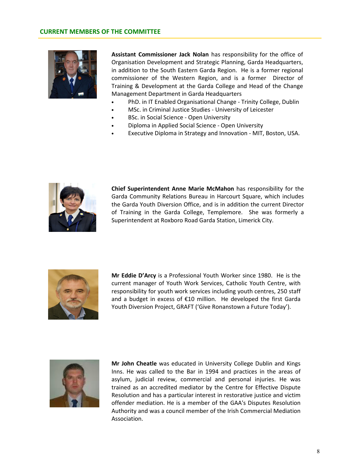

Assistant Commissioner Jack Nolan has responsibility for the office of Organisation Development and Strategic Planning, Garda Headquarters, in addition to the South Eastern Garda Region. He is a former regional commissioner of the Western Region, and is a former Director of Training & Development at the Garda College and Head of the Change Management Department in Garda Headquarters

- PhD. in IT Enabled Organisational Change Trinity College, Dublin
- MSc. in Criminal Justice Studies University of Leicester
- BSc. in Social Science Open University
- Diploma in Applied Social Science Open University
- Executive Diploma in Strategy and Innovation MIT, Boston, USA.



Chief Superintendent Anne Marie McMahon has responsibility for the Garda Community Relations Bureau in Harcourt Square, which includes the Garda Youth Diversion Office, and is in addition the current Director of Training in the Garda College, Templemore. She was formerly a Superintendent at Roxboro Road Garda Station, Limerick City.



Mr Eddie D'Arcy is a Professional Youth Worker since 1980. He is the current manager of Youth Work Services, Catholic Youth Centre, with responsibility for youth work services including youth centres, 250 staff and a budget in excess of  $£10$  million. He developed the first Garda Youth Diversion Project, GRAFT ('Give Ronanstown a Future Today').



Mr John Cheatle was educated in University College Dublin and Kings Inns. He was called to the Bar in 1994 and practices in the areas of asylum, judicial review, commercial and personal injuries. He was trained as an accredited mediator by the Centre for Effective Dispute Resolution and has a particular interest in restorative justice and victim offender mediation. He is a member of the GAA's Disputes Resolution Authority and was a council member of the Irish Commercial Mediation Association.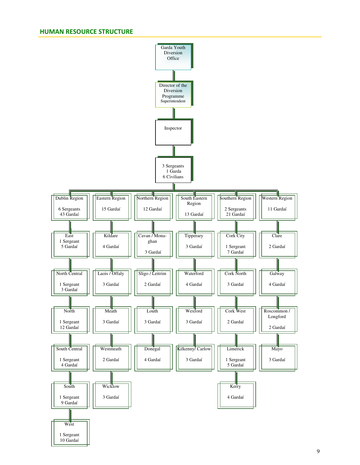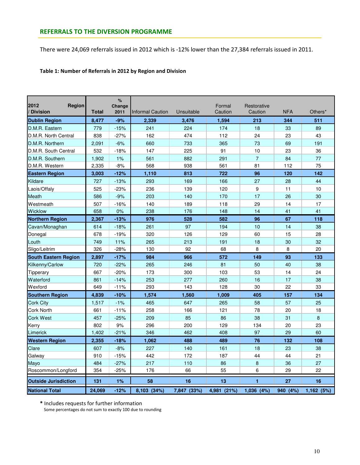There were 24,069 referrals issued in 2012 which is -12% lower than the 27,384 referrals issued in 2011.

## Table 1: Number of Referrals in 2012 by Region and Division

| 2012<br>Region<br><b>Division</b> | <b>Total</b> | %<br>Change<br>2011 | <b>Informal Caution</b> | Unsuitable  | Formal<br>Caution | Restorative<br>Caution | <b>NFA</b> | Others*   |
|-----------------------------------|--------------|---------------------|-------------------------|-------------|-------------------|------------------------|------------|-----------|
| <b>Dublin Region</b>              | 8,477        | $-9%$               | 2,339                   | 3,476       | 1,594             | 213                    | 344        | 511       |
| D.M.R. Eastern                    | 779          | $-15%$              | 241                     | 224         | 174               | 18                     | 33         | 89        |
| D.M.R. North Central              | 838          | -27%                | 162                     | 474         | 112               | 24                     | 23         | 43        |
| D.M.R. Northern                   | 2,091        | $-6%$               | 660                     | 733         | 365               | 73                     | 69         | 191       |
| D.M.R. South Central              | 532          | -18%                | 147                     | 225         | 91                | 10                     | 23         | 36        |
| D.M.R. Southern                   | 1,902        | 1%                  | 561                     | 882         | 291               | $\overline{7}$         | 84         | 77        |
| D.M.R. Western                    | 2,335        | $-8%$               | 568                     | 938         | 561               | 81                     | 112        | 75        |
| <b>Eastern Region</b>             | 3,003        | $-12%$              | 1,110                   | 813         | 722               | 96                     | 120        | 142       |
| Kildare                           | 727          | $-13%$              | 293                     | 169         | 166               | 27                     | 28         | 44        |
| Laois/Offaly                      | 525          | $-23%$              | 236                     | 139         | 120               | 9                      | 11         | 10        |
| Meath                             | 586          | $-9%$               | 203                     | 140         | 170               | 17                     | 26         | 30        |
| Westmeath                         | 507          | $-16%$              | 140                     | 189         | 118               | 29                     | 14         | 17        |
| Wicklow                           | 658          | 0%                  | 238                     | 176         | 148               | 14                     | 41         | 41        |
| <b>Northern Region</b>            | 2,367        | $-13%$              | 976                     | 528         | 582               | 96                     | 67         | 118       |
| Cavan/Monaghan                    | 614          | $-18%$              | 261                     | 97          | 194               | 10                     | 14         | 38        |
| Donegal                           | 678          | $-19%$              | 320                     | 126         | 129               | 60                     | 15         | 28        |
| Louth                             | 749          | 11%                 | 265                     | 213         | 191               | 18                     | 30         | 32        |
| Sligo/Leitrim                     | 326          | -28%                | 130                     | 92          | 68                | 8                      | 8          | 20        |
| <b>South Eastern Region</b>       | 2,897        | $-17%$              | 984                     | 966         | 572               | 149                    | 93         | 133       |
| Kilkenny/Carlow                   | 720          | $-22%$              | 265                     | 246         | 81                | 50                     | 40         | 38        |
| Tipperary                         | 667          | $-20%$              | 173                     | 300         | 103               | 53                     | 14         | 24        |
| Waterford                         | 861          | $-14%$              | 253                     | 277         | 260               | 16                     | 17         | 38        |
| Wexford                           | 649          | $-11%$              | 293                     | 143         | 128               | 30                     | 22         | 33        |
| <b>Southern Region</b>            | 4,839        | $-10%$              | 1,574                   | 1,560       | 1,009             | 405                    | 157        | 134       |
| <b>Cork City</b>                  | 1,517        | $-1%$               | 465                     | 647         | 265               | 58                     | 57         | 25        |
| Cork North                        | 661          | $-11%$              | 258                     | 166         | 121               | 78                     | 20         | 18        |
| Cork West                         | 457          | $-25%$              | 209                     | 85          | 86                | 38                     | 31         | 8         |
| Kerry                             | 802          | 9%                  | 296                     | 200         | 129               | 134                    | 20         | 23        |
| Limerick                          | 1,402        | $-21%$              | 346                     | 462         | 408               | 97                     | 29         | 60        |
| <b>Western Region</b>             | 2,355        | $-18%$              | 1,062                   | 488         | 489               | 76                     | 132        | 108       |
| Clare                             | 607          | $-8%$               | 227                     | 140         | 161               | 18                     | 23         | 38        |
| Galway                            | 910          | $-15%$              | 442                     | 172         | 187               | 44                     | 44         | 21        |
| Mayo                              | 484          | $-27%$              | 217                     | 110         | 86                | 8                      | 36         | 27        |
| Roscommon/Longford                | 354          | $-25%$              | 176                     | 66          | 55                | 6                      | 29         | 22        |
| <b>Outside Jurisdiction</b>       | 131          | 1%                  | 58                      | 16          | 13                | 1                      | 27         | 16        |
| <b>National Total</b>             | 24.069       | $-12%$              | 8,103 (34%)             | 7,847 (33%) | 4,981 (21%)       | $1,036$ $(4%)$         | 940 (4%)   | 1,162(5%) |

\* Includes requests for further information

Some percentages do not sum to exactly 100 due to rounding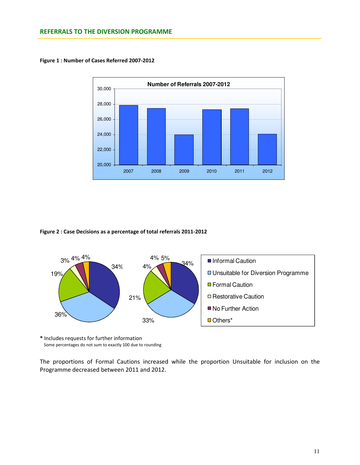

Figure 1 : Number of Cases Referred 2007-2012

#### Figure 2 : Case Decisions as a percentage of total referrals 2011-2012



\* Includes requests for further information Some percentages do not sum to exactly 100 due to rounding

The proportions of Formal Cautions increased while the proportion Unsuitable for inclusion on the Programme decreased between 2011 and 2012.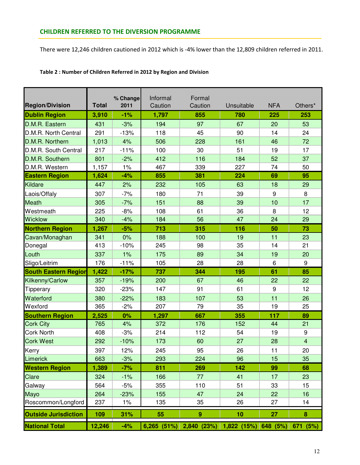There were 12,246 children cautioned in 2012 which is -4% lower than the 12,809 children referred in 2011.

| <b>Region/Division</b>      | <b>Total</b> | % Change<br>2011 | Informal<br>Caution | Formal<br>Caution                                     | Unsuitable | <b>NFA</b> | Others*        |  |
|-----------------------------|--------------|------------------|---------------------|-------------------------------------------------------|------------|------------|----------------|--|
| <b>Dublin Region</b>        | 3,910        | $-1%$            | 1,797               | 855                                                   | 780        | 225        | 253            |  |
| D.M.R. Eastern              | 431          | $-3%$            | 194                 | 97                                                    | 67         | 20         | 53             |  |
| D.M.R. North Central        | 291          | $-13%$           | 118                 | 45                                                    | 90         | 14         | 24             |  |
| D.M.R. Northern             | 1,013        | 4%               | 506                 | 228                                                   | 161        | 46         | 72             |  |
| D.M.R. South Central        | 217          | $-11%$           | 100                 | 30                                                    | 51         | 19         | 17             |  |
| D.M.R. Southern             | 801          | $-2%$            | 412                 | 116                                                   | 184        | 52         | 37             |  |
| D.M.R. Western              | 1,157        | 1%               | 467                 | 339                                                   | 227        | 74         | 50             |  |
| <b>Eastern Region</b>       | 1,624        | $-4%$            | 855                 | 381                                                   | 224        | 69         | 95             |  |
| Kildare                     | 447          | 2%               | 232                 | 105                                                   | 63         | 18         | 29             |  |
| Laois/Offaly                | 307          | $-7%$            | 180                 | 71                                                    | 39         | 9          | 8              |  |
| Meath                       | 305          | $-7%$            | 151                 | 88                                                    | 39         | 10         | 17             |  |
| Westmeath                   | 225          | $-8%$            | 108                 | 61                                                    | 36         | 8          | 12             |  |
| <b>Wicklow</b>              | 340          | $-4%$            | 184                 | 56                                                    | 47         | 24         | 29             |  |
| <b>Northern Region</b>      | 1,267        | $-5%$            | 713                 | 315                                                   | 116        | 50         | 73             |  |
| Cavan/Monaghan              | 341          | 0%               | 188                 | 100                                                   | 19         | 11         | 23             |  |
| Donegal                     | 413          | $-10%$           | 245                 | 98                                                    | 35         | 14         | 21             |  |
| Louth                       | 337          | 1%               | 175                 | 89                                                    | 34         | 19         | 20             |  |
| Sligo/Leitrim               | 176          | $-11%$           | 105                 | 28                                                    | 28         | 6          | 9              |  |
| <b>South Eastern Region</b> | 1,422        | $-17%$           | 737                 | 344                                                   | 195        | 61         | 85             |  |
| Kilkenny/Carlow             | 357          | $-19%$           | 200                 | 67                                                    | 46         | 22         | 22             |  |
| Tipperary                   | 320          | $-23%$           | 147                 | 91                                                    | 61         | 9          | 12             |  |
| Waterford                   | 380          | $-22%$           | 183                 | 107                                                   | 53         | 11         | 26             |  |
| Wexford                     | 365          | $-2%$            | 207                 | 79                                                    | 35         | 19         | 25             |  |
| <b>Southern Region</b>      | 2,525        | 0%               | 1,297               | 667                                                   | 355        | 117        | 89             |  |
| <b>Cork City</b>            | 765          | 4%               | 372                 | 176                                                   | 152        | 44         | 21             |  |
| <b>Cork North</b>           | 408          | $-3%$            | 214                 | 112                                                   | 54         | 19         | 9              |  |
| <b>Cork West</b>            | 292          | $-10%$           | 173                 | 60                                                    | 27         | 28         | $\overline{4}$ |  |
| Kerry                       | 397          | 12%              | 245                 | 95                                                    | 26         | 11         | 20             |  |
| Limerick                    | 663          | $-3%$            | 293                 | 224                                                   | 96         | 15         | 35             |  |
| <b>Western Region</b>       | 1,389        | $-7%$            | 811                 | 269                                                   | 142        | 99         | 68             |  |
| Clare                       | 324          | $-1%$            | 166                 | 77                                                    | 41         | 17         | 23             |  |
| Galway                      | 564          | $-5%$            | 355                 | 110                                                   | 51         | 33         | 15             |  |
| Mayo                        | 264          | $-23%$           | 155                 | 47                                                    | 24         | 22         | 16             |  |
| Roscommon/Longford          | 237          | $1\%$            | 135                 | 35                                                    | 26         | 27         | 14             |  |
| <b>Outside Jurisdiction</b> | 109          | 31%              | 55                  | $\boldsymbol{9}$                                      | 10         | 27         | 8              |  |
| <b>National Total</b>       | 12,246       | $-4%$            |                     | 6,265 (51%) 2,840 (23%) 1,822 (15%) 648 (5%) 671 (5%) |            |            |                |  |

### Table 2 : Number of Children Referred in 2012 by Region and Division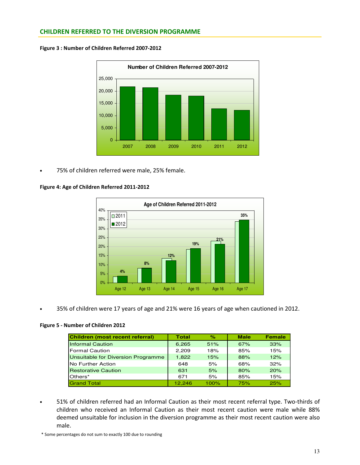## CHILDREN REFERRED TO THE DIVERSION PROGRAMME

Figure 3 : Number of Children Referred 2007-2012



• 75% of children referred were male, 25% female.

### Figure 4: Age of Children Referred 2011-2012



• 35% of children were 17 years of age and 21% were 16 years of age when cautioned in 2012.

#### Figure 5 - Number of Children 2012

| Children (most recent referral)    | Total  | $\%$ | <b>Male</b> | <b>Female</b> |
|------------------------------------|--------|------|-------------|---------------|
| <b>Informal Caution</b>            | 6,265  | 51%  | 67%         | 33%           |
| <b>Formal Caution</b>              | 2,209  | 18%  | 85%         | 15%           |
| Unsuitable for Diversion Programme | 1.822  | 15%  | 88%         | 12%           |
| No Further Action                  | 648    | 5%   | 68%         | 32%           |
| <b>Restorative Caution</b>         | 631    | 5%   | 80%         | 20%           |
| Others*                            | 671    | 5%   | 85%         | 15%           |
| <b>Grand Total</b>                 | 12.246 | 100% | 75%         | 25%           |

• 51% of children referred had an Informal Caution as their most recent referral type. Two-thirds of children who received an Informal Caution as their most recent caution were male while 88% deemed unsuitable for inclusion in the diversion programme as their most recent caution were also male.

<sup>\*</sup> Some percentages do not sum to exactly 100 due to rounding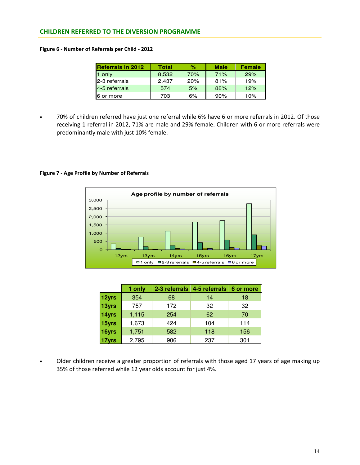## CHILDREN REFERRED TO THE DIVERSION PROGRAMME

#### Figure 6 - Number of Referrals per Child - 2012

| <b>Referrals in 2012</b> | <b>Total</b> | ℅   | <b>Male</b> | <b>Female</b> |
|--------------------------|--------------|-----|-------------|---------------|
| 1 only                   | 8,532        | 70% | 71%         | 29%           |
| 2-3 referrals            | 2.437        | 20% | 81%         | 19%           |
| 4-5 referrals            | 574          | 5%  | 88%         | 12%           |
| 6 or more                | 703          | 6%  | 90%         | 10%           |

• 70% of children referred have just one referral while 6% have 6 or more referrals in 2012. Of those receiving 1 referral in 2012, 71% are male and 29% female. Children with 6 or more referrals were predominantly male with just 10% female.

#### Figure 7 - Age Profile by Number of Referrals



|       | 1 only | 2-3 referrals | 4-5 referrals | 6 or more |
|-------|--------|---------------|---------------|-----------|
| 12yrs | 354    | 68            | 14            | 18        |
| 13yrs | 757    | 172           | 32            | 32        |
| 14yrs | 1,115  | 254           | 62            | 70        |
| 15yrs | 1,673  | 424           | 104           | 114       |
| 16yrs | 1,751  | 582           | 118           | 156       |
|       | 2,795  | 906           | 237           | 301       |

Older children receive a greater proportion of referrals with those aged 17 years of age making up 35% of those referred while 12 year olds account for just 4%.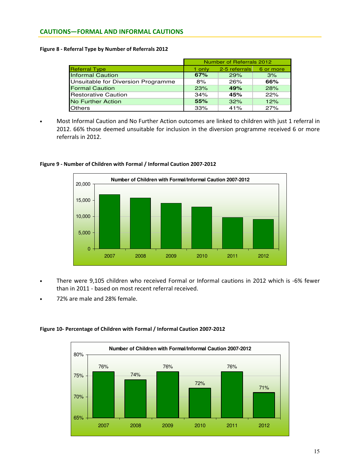## CAUTIONS—FORMAL AND INFORMAL CAUTIONS

#### Figure 8 - Referral Type by Number of Referrals 2012

|                                    | Number of Referrals 2012 |               |           |  |  |  |
|------------------------------------|--------------------------|---------------|-----------|--|--|--|
| <b>Referral Type</b>               | 1 only                   | 2-5 referrals | 6 or more |  |  |  |
| <b>Informal Caution</b>            | 67%                      | 29%           | 3%        |  |  |  |
| Unsuitable for Diversion Programme | 8%                       | 26%           | 66%       |  |  |  |
| <b>Formal Caution</b>              | 23%                      | 49%           | 28%       |  |  |  |
| <b>Restorative Caution</b>         | 34%                      | 45%           | 22%       |  |  |  |
| <b>No Further Action</b>           | 55%                      | 32%           | 12%       |  |  |  |
| <b>Others</b>                      | 33%                      | 41%           | 27%       |  |  |  |

• Most Informal Caution and No Further Action outcomes are linked to children with just 1 referral in 2012. 66% those deemed unsuitable for inclusion in the diversion programme received 6 or more referrals in 2012.



#### Figure 9 - Number of Children with Formal / Informal Caution 2007-2012

- There were 9,105 children who received Formal or Informal cautions in 2012 which is -6% fewer than in 2011 - based on most recent referral received.
- 72% are male and 28% female.

#### Figure 10- Percentage of Children with Formal / Informal Caution 2007-2012

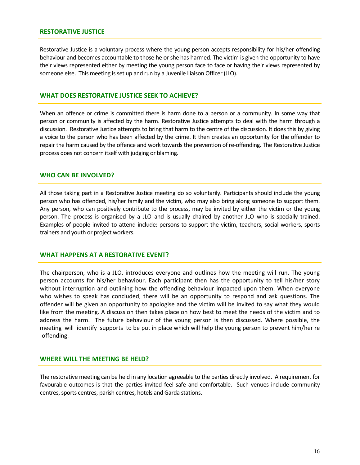### RESTORATIVE JUSTICE

Restorative Justice is a voluntary process where the young person accepts responsibility for his/her offending behaviour and becomes accountable to those he or she has harmed. The victim is given the opportunity to have their views represented either by meeting the young person face to face or having their views represented by someone else. This meeting is set up and run by a Juvenile Liaison Officer (JLO).

### WHAT DOES RESTORATIVE JUSTICE SEEK TO ACHIEVE?

When an offence or crime is committed there is harm done to a person or a community. In some way that person or community is affected by the harm. Restorative Justice attempts to deal with the harm through a discussion. Restorative Justice attempts to bring that harm to the centre of the discussion. It does this by giving a voice to the person who has been affected by the crime. It then creates an opportunity for the offender to repair the harm caused by the offence and work towards the prevention of re-offending. The Restorative Justice process does not concern itself with judging or blaming.

#### WHO CAN BE INVOLVED?

All those taking part in a Restorative Justice meeting do so voluntarily. Participants should include the young person who has offended, his/her family and the victim, who may also bring along someone to support them. Any person, who can positively contribute to the process, may be invited by either the victim or the young person. The process is organised by a JLO and is usually chaired by another JLO who is specially trained. Examples of people invited to attend include: persons to support the victim, teachers, social workers, sports trainers and youth or project workers.

### WHAT HAPPENS AT A RESTORATIVE EVENT?

The chairperson, who is a JLO, introduces everyone and outlines how the meeting will run. The young person accounts for his/her behaviour. Each participant then has the opportunity to tell his/her story without interruption and outlining how the offending behaviour impacted upon them. When everyone who wishes to speak has concluded, there will be an opportunity to respond and ask questions. The offender will be given an opportunity to apologise and the victim will be invited to say what they would like from the meeting. A discussion then takes place on how best to meet the needs of the victim and to address the harm. The future behaviour of the young person is then discussed. Where possible, the meeting will identify supports to be put in place which will help the young person to prevent him/her re -offending.

## WHERE WILL THE MEETING BE HELD?

The restorative meeting can be held in any location agreeable to the parties directly involved. A requirement for favourable outcomes is that the parties invited feel safe and comfortable. Such venues include community centres, sports centres, parish centres, hotels and Garda stations.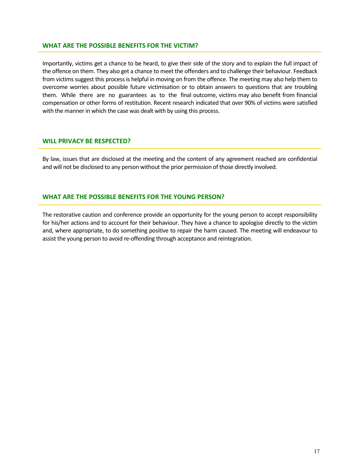### WHAT ARE THE POSSIBLE BENEFITS FOR THE VICTIM?

Importantly, victims get a chance to be heard, to give their side of the story and to explain the full impact of the offence on them. They also get a chance to meet the offenders and to challenge their behaviour. Feedback from victims suggest this process is helpful in moving on from the offence. The meeting may also help them to overcome worries about possible future victimisation or to obtain answers to questions that are troubling them. While there are no guarantees as to the final outcome, victims may also benefit from financial compensation or other forms of restitution. Recent research indicated that over 90% of victims were satisfied with the manner in which the case was dealt with by using this process.

## WILL PRIVACY BE RESPECTED?

By law, issues that are disclosed at the meeting and the content of any agreement reached are confidential and will not be disclosed to any person without the prior permission of those directly involved.

## WHAT ARE THE POSSIBLE BENEFITS FOR THE YOUNG PERSON?

The restorative caution and conference provide an opportunity for the young person to accept responsibility for his/her actions and to account for their behaviour. They have a chance to apologise directly to the victim and, where appropriate, to do something positive to repair the harm caused. The meeting will endeavour to assist the young person to avoid re-offending through acceptance and reintegration.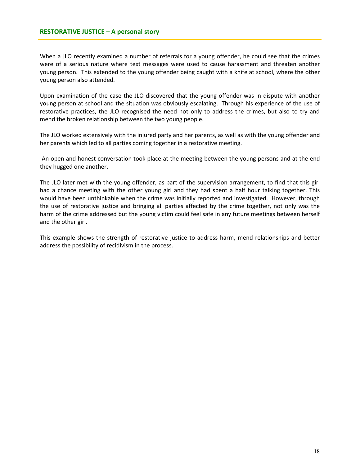## RESTORATIVE JUSTICE – A personal story

When a JLO recently examined a number of referrals for a young offender, he could see that the crimes were of a serious nature where text messages were used to cause harassment and threaten another young person. This extended to the young offender being caught with a knife at school, where the other young person also attended.

Upon examination of the case the JLO discovered that the young offender was in dispute with another young person at school and the situation was obviously escalating. Through his experience of the use of restorative practices, the JLO recognised the need not only to address the crimes, but also to try and mend the broken relationship between the two young people.

The JLO worked extensively with the injured party and her parents, as well as with the young offender and her parents which led to all parties coming together in a restorative meeting.

 An open and honest conversation took place at the meeting between the young persons and at the end they hugged one another.

The JLO later met with the young offender, as part of the supervision arrangement, to find that this girl had a chance meeting with the other young girl and they had spent a half hour talking together. This would have been unthinkable when the crime was initially reported and investigated. However, through the use of restorative justice and bringing all parties affected by the crime together, not only was the harm of the crime addressed but the young victim could feel safe in any future meetings between herself and the other girl.

This example shows the strength of restorative justice to address harm, mend relationships and better address the possibility of recidivism in the process.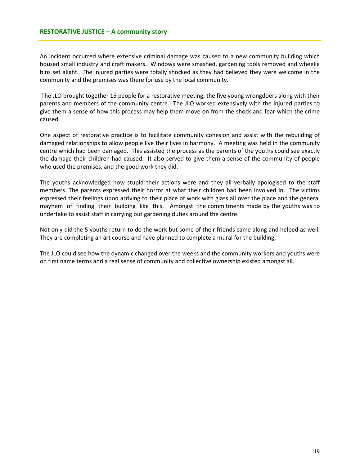An incident occurred where extensive criminal damage was caused to a new community building which housed small industry and craft makers. Windows were smashed, gardening tools removed and wheelie bins set alight. The injured parties were totally shocked as they had believed they were welcome in the community and the premises was there for use by the local community.

 The JLO brought together 15 people for a restorative meeting; the five young wrongdoers along with their parents and members of the community centre. The JLO worked extensively with the injured parties to give them a sense of how this process may help them move on from the shock and fear which the crime caused.

One aspect of restorative practice is to facilitate community cohesion and assist with the rebuilding of damaged relationships to allow people live their lives in harmony. A meeting was held in the community centre which had been damaged. This assisted the process as the parents of the youths could see exactly the damage their children had caused. It also served to give them a sense of the community of people who used the premises, and the good work they did.

The youths acknowledged how stupid their actions were and they all verbally apologised to the staff members. The parents expressed their horror at what their children had been involved in. The victims expressed their feelings upon arriving to their place of work with glass all over the place and the general mayhem of finding their building like this. Amongst the commitments made by the youths was to undertake to assist staff in carrying out gardening duties around the centre.

Not only did the 5 youths return to do the work but some of their friends came along and helped as well. They are completing an art course and have planned to complete a mural for the building.

The JLO could see how the dynamic changed over the weeks and the community workers and youths were on first name terms and a real sense of community and collective ownership existed amongst all.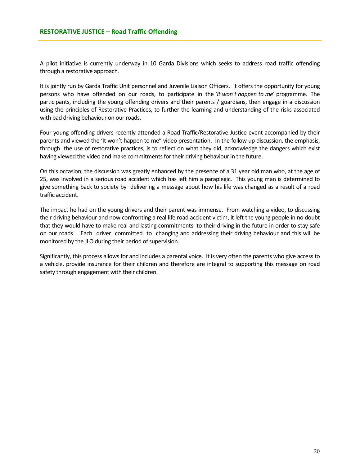A pilot initiative is currently underway in 10 Garda Divisions which seeks to address road traffic offending through a restorative approach.

It is jointly run by Garda Traffic Unit personnel and Juvenile Liaison Officers. It offers the opportunity for young persons who have offended on our roads, to participate in the 'It won't happen to me' programme. The participants, including the young offending drivers and their parents / guardians, then engage in a discussion using the principles of Restorative Practices, to further the learning and understanding of the risks associated with bad driving behaviour on our roads.

Four young offending drivers recently attended a Road Traffic/Restorative Justice event accompanied by their parents and viewed the 'It won't happen to me" video presentation. In the follow up discussion, the emphasis, through the use of restorative practices, is to reflect on what they did, acknowledge the dangers which exist having viewed the video and make commitments for their driving behaviour in the future.

On this occasion, the discussion was greatly enhanced by the presence of a 31 year old man who, at the age of 25, was involved in a serious road accident which has left him a paraplegic. This young man is determined to give something back to society by delivering a message about how his life was changed as a result of a road traffic accident.

The impact he had on the young drivers and their parent was immense. From watching a video, to discussing their driving behaviour and now confronting a real life road accident victim, it left the young people in no doubt that they would have to make real and lasting commitments to their driving in the future in order to stay safe on our roads. Each driver committed to changing and addressing their driving behaviour and this will be monitored by the JLO during their period of supervision.

Significantly, this process allows for and includes a parental voice. It is very often the parents who give access to a vehicle, provide insurance for their children and therefore are integral to supporting this message on road safety through engagement with their children.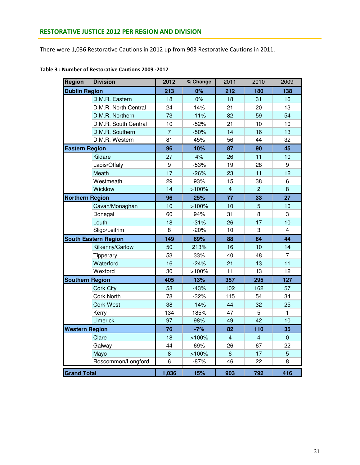There were 1,036 Restorative Cautions in 2012 up from 903 Restorative Cautions in 2011.

| <b>Region</b>          | <b>Division</b>             | 2012           | % Change | 2011           | 2010           | 2009         |
|------------------------|-----------------------------|----------------|----------|----------------|----------------|--------------|
| <b>Dublin Region</b>   |                             | 213            | 0%       | 212            | 180            | 138          |
|                        | D.M.R. Eastern              | 18             | 0%       | 18             | 31             | 16           |
|                        | D.M.R. North Central        | 24             | 14%      | 21             | 20             | 13           |
|                        | D.M.R. Northern             | 73             | $-11%$   | 82             | 59             | 54           |
|                        | D.M.R. South Central        | 10             | $-52%$   | 21             | 10             | 10           |
|                        | D.M.R. Southern             | $\overline{7}$ | $-50%$   | 14             | 16             | 13           |
|                        | D.M.R. Western              | 81             | 45%      | 56             | 44             | 32           |
| <b>Eastern Region</b>  |                             | 96             | 10%      | 87             | 90             | 45           |
|                        | Kildare                     | 27             | 4%       | 26             | 11             | 10           |
|                        | Laois/Offaly                | 9              | $-53%$   | 19             | 28             | 9            |
|                        | Meath                       | 17             | $-26%$   | 23             | 11             | 12           |
|                        | Westmeath                   | 29             | 93%      | 15             | 38             | 6            |
|                        | Wicklow                     | 14             | >100%    | $\overline{4}$ | $\overline{2}$ | 8            |
| <b>Northern Region</b> |                             | 96             | 25%      | 77             | 33             | 27           |
|                        | Cavan/Monaghan              | 10             | >100%    | 10             | $\overline{5}$ | 10           |
|                        | Donegal                     | 60             | 94%      | 31             | 8              | 3            |
|                        | Louth                       | 18             | $-31%$   | 26             | 17             | 10           |
|                        | Sligo/Leitrim               | 8              | $-20%$   | 10             | 3              | 4            |
|                        | <b>South Eastern Region</b> | 149            | 69%      | 88             | 84             | 44           |
|                        | Kilkenny/Carlow             | 50             | 213%     | 16             | 10             | 14           |
|                        | Tipperary                   | 53             | 33%      | 40             | 48             | 7            |
|                        | Waterford                   | 16             | $-24%$   | 21             | 13             | 11           |
|                        | Wexford                     | 30             | >100%    | 11             | 13             | 12           |
| <b>Southern Region</b> |                             | 405            | 13%      | 357            | 295            | 127          |
|                        | <b>Cork City</b>            | 58             | $-43%$   | 102            | 162            | 57           |
|                        | <b>Cork North</b>           | 78             | $-32%$   | 115            | 54             | 34           |
|                        | <b>Cork West</b>            | 38             | $-14%$   | 44             | 32             | 25           |
|                        | Kerry                       | 134            | 185%     | 47             | 5              | $\mathbf{1}$ |
|                        | Limerick                    | 97             | 98%      | 49             | 42             | 10           |
| <b>Western Region</b>  |                             | 76             | $-7%$    | 82             | 110            | 35           |
|                        | Clare                       | 18             | >100%    | $\overline{4}$ | $\overline{4}$ | $\Omega$     |
|                        | Galway                      | 44             | 69%      | 26             | 67             | 22           |
|                        | Mayo                        | 8              | >100%    | $6\phantom{a}$ | 17             | 5            |
|                        | Roscommon/Longford          | $\,6$          | $-87%$   | 46             | 22             | 8            |
| <b>Grand Total</b>     |                             | 1,036          | 15%      | 903            | 792            | 416          |

# Table 3 : Number of Restorative Cautions 2009 -2012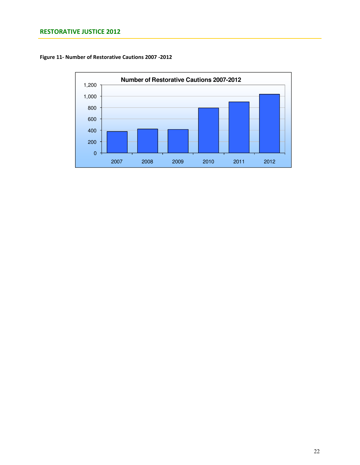# RESTORATIVE JUSTICE 2012

Figure 11- Number of Restorative Cautions 2007 -2012

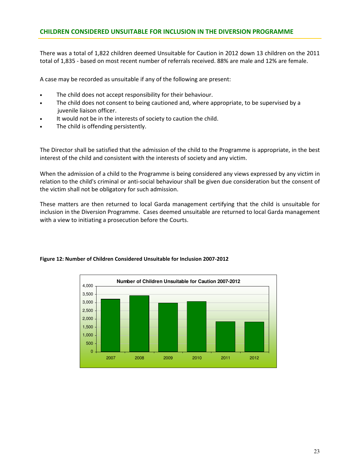## CHILDREN CONSIDERED UNSUITABLE FOR INCLUSION IN THE DIVERSION PROGRAMME

There was a total of 1,822 children deemed Unsuitable for Caution in 2012 down 13 children on the 2011 total of 1,835 - based on most recent number of referrals received. 88% are male and 12% are female.

A case may be recorded as unsuitable if any of the following are present:

- The child does not accept responsibility for their behaviour.
- The child does not consent to being cautioned and, where appropriate, to be supervised by a juvenile liaison officer.
- It would not be in the interests of society to caution the child.
- The child is offending persistently.

The Director shall be satisfied that the admission of the child to the Programme is appropriate, in the best interest of the child and consistent with the interests of society and any victim.

When the admission of a child to the Programme is being considered any views expressed by any victim in relation to the child's criminal or anti-social behaviour shall be given due consideration but the consent of the victim shall not be obligatory for such admission.

These matters are then returned to local Garda management certifying that the child is unsuitable for inclusion in the Diversion Programme. Cases deemed unsuitable are returned to local Garda management with a view to initiating a prosecution before the Courts.



#### Figure 12: Number of Children Considered Unsuitable for Inclusion 2007-2012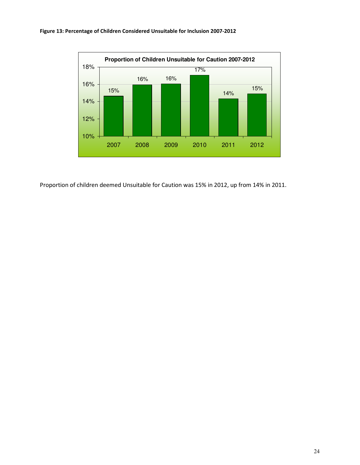



Proportion of children deemed Unsuitable for Caution was 15% in 2012, up from 14% in 2011.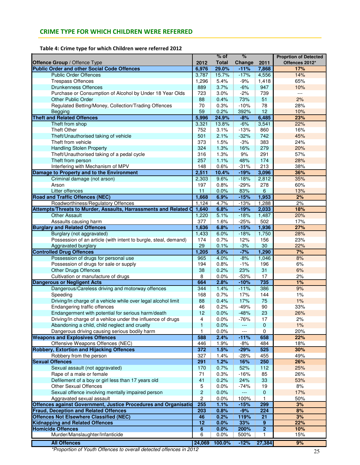# CRIME TYPE FOR WHICH CHILDREN WERE REFERRED

Table 4: Crime type for which Children were referred 2012

|                                                                                                     |                     | $%$ of       | %             |                  | <b>Proprtion of Detected</b> |
|-----------------------------------------------------------------------------------------------------|---------------------|--------------|---------------|------------------|------------------------------|
| Offence Group / Offence Type                                                                        | 2012                | <b>Total</b> | Change        | 2011             | Offences 2012*               |
| <b>Public Order and other Social Code Offences</b>                                                  | 6,976               | 29.0%        | $-11%$        | 7,868            | 17%                          |
| <b>Public Order Offences</b>                                                                        | 3,787               | 15.7%        | $-17%$        | 4,556            | 14%                          |
| <b>Trespass Offences</b>                                                                            | 1,296               | 5.4%         | $-9%$         | 1,418            | 65%                          |
| <b>Drunkenness Offences</b>                                                                         | 889                 | 3.7%         | $-6%$         | 947              | 10%                          |
| Purchase or Consumption of Alcohol by Under 18 Year Olds                                            | 723                 | 3.0%         | $-2%$         | 739              | $\sim$ $\sim$ $\sim$         |
| Other Public Order                                                                                  | 88                  | 0.4%         | 73%           | 51               | 2%                           |
| Regulated Betting/Money, Collection/Trading Offences                                                | 70                  | 0.3%         | $-10%$        | 78               | 28%                          |
| Begging                                                                                             | 59                  | 0.2%         | 392%          | 12               | 10%                          |
| <b>Theft and Related Offences</b>                                                                   | 5,996               | 24.9%        | $-8%$         | 6,485            | 23%                          |
| Theft from shop                                                                                     | 3,321               | 13.8%        | $-6%$         | 3,541            | 22%                          |
| <b>Theft Other</b>                                                                                  | 752                 | 3.1%         | $-13%$        | 860              | 16%                          |
| Theft/Unauthorised taking of vehicle                                                                | 501                 | 2.1%         | $-32%$        | 742              | 45%                          |
| Theft from vehicle                                                                                  | 373                 | 1.5%         | $-3%$         | 383              | 24%                          |
| <b>Handling Stolen Property</b>                                                                     | 324                 | 1.3%         | 16%           | 279              | 20%                          |
| Theft/Unauthorised taking of a pedal cycle                                                          | 316                 | 1.3%         | 9%            | 291              | 57%                          |
| Theft from person                                                                                   | 257                 | 1.1%         | 48%           | 174              | 28%                          |
| Interfering with Mechanism of MPV                                                                   | 148                 | 0.6%         | $-31%$        | 213              | 38%                          |
| Damage to Property and to the Environment                                                           | 2,511               | 10.4%        | $-19%$        | 3,096            | 36%                          |
| Criminal damage (not arson)                                                                         | 2,303               | 9.6%         | $-18%$        | 2,812            | 35%                          |
| Arson                                                                                               | 197                 | 0.8%         | $-29%$        | 278              | 60%                          |
| Litter offences                                                                                     | 11                  | 0.0%         | 83%           | 6                | 13%                          |
| <b>Road and Traffic Offences (NEC)</b>                                                              | 1,668               | 6.9%         | $-15%$        | 1,953            | 2%                           |
| Roadworthiness/Regulatory Offences                                                                  | 1,124               | 4.7%         | $-13%$        | 1,288            | 2%                           |
| Attempts/Threats to Murder, Assaults, Harrassments and Related O                                    | 1,640               | 6.8%         | $-19%$        | 2,033            | 18%                          |
| <b>Other Assault</b>                                                                                | 1,220               | 5.1%         | $-18%$        | 1,487            | 20%                          |
| Assaults causing harm                                                                               | 377                 | 1.6%         | $-25%$        | 502              | 17%                          |
| <b>Burglary and Related Offences</b>                                                                | 1,636               | 6.8%         | $-15%$        | 1,936            | 27%                          |
| Burglary (not aggravated)                                                                           | 1,433               | 6.0%         | $-18%$        | 1,750            | 28%                          |
| Possession of an article (with intent to burgle, steal, demand)                                     | 174                 | 0.7%         | 12%           | 156              | 23%                          |
| Aggravated burglary                                                                                 | 29                  | 0.1%         | $-3%$         | 30               | 22%                          |
| <b>Controlled Drug Offences</b>                                                                     | 1,205               | 5.0%         | $-7%$         | 1,290            | 7%                           |
| Possession of drugs for personal use                                                                | 965                 | 4.0%         | $-8%$         | 1,046            | 8%                           |
| Possession of drugs for sale or supply                                                              | 194                 | 0.8%         | $-1%$         | 196              | 6%                           |
| <b>Other Drugs Offences</b>                                                                         | 38                  | 0.2%         | 23%           | 31               | 6%                           |
| Cultivation or manufacture of drugs                                                                 | 8                   | 0.0%         | $-53%$        | 17               | 2%                           |
| <b>Dangerous or Negligent Acts</b>                                                                  | 664                 | 2.8%         | $-10%$        | 735              | 1%<br>9%                     |
| Dangerous/Careless driving and motorway offences                                                    | 344                 | 1.4%         | $-11%$        | 386              |                              |
| Speeding                                                                                            | 168                 | 0.7%         | 17%           | 144              | 1%                           |
| Driving/In charge of a vehicle while over legal alcohol limit                                       | 88                  | 0.4%         | 17%           | 75               | 1%                           |
| Endangering traffic offences                                                                        | 46                  | 0.2%         | $-49%$        | 90               | 33%                          |
| Endangerment with potential for serious harm/death                                                  | 12                  | 0.0%         | $-48%$        | 23               | 26%                          |
| Driving/In charge of a vehilce under the influence of drugs                                         | 4<br>$\mathbf{1}$   | 0.0%         | $-76%$        | 17               | 2%                           |
| Abandoning a child, child neglect and cruelty                                                       | 1                   | 0.0%         |               | 0<br>0           | 1%                           |
| Dangerous driving causing serious bodily harm<br><b>Weapons and Explosives Offences</b>             | 588                 | 0.0%<br>2.4% | $-11%$        | 658              | 20%<br>22%                   |
| Offensive Weapons Offences (NEC)                                                                    | 446                 | 1.9%         |               | 484              | 18%                          |
| <b>Robbery, Extortion and Hijacking Offences</b>                                                    | 372                 | 1.5%         | -8%           | 525              | 30%                          |
|                                                                                                     |                     |              | $-29%$        |                  |                              |
| Robbery from the person<br><b>Sexual Offences</b>                                                   | 327<br>291          | 1.4%<br>1.2% | $-28%$        | 455              | 49%<br>26%                   |
| Sexual assault (not aggravated)                                                                     | 170                 | 0.7%         | 16%<br>52%    | 250<br>112       | 25%                          |
|                                                                                                     |                     |              |               |                  |                              |
| Rape of a male or female                                                                            | 71<br>41            | 0.3%         | $-16%$<br>24% | 85<br>33         | 26%<br>53%                   |
| Defilement of a boy or girl less than 17 years old<br><b>Other Sexual Offences</b>                  |                     | 0.2%<br>0.0% | $-74%$        | 19               | 8%                           |
|                                                                                                     | 5<br>$\overline{c}$ |              | <b>---</b>    |                  |                              |
| Sexual offence involving mentally impaired person                                                   | $\overline{c}$      | 0.0%         | 100%          | $\mathbf 0$<br>1 | 17%                          |
| Aggravated sexual assault<br><b>Offences against Government, Justice Procedures and Organisatio</b> | 255                 | 0.0%<br>1.1% | $-15%$        | 299              | 50%<br>3%                    |
| <b>Fraud, Deception and Related Offences</b>                                                        | 203                 | 0.8%         | $-9%$         | 224              | 8%                           |
| <b>Offences Not Elsewhere Classified (NEC)</b>                                                      | 46                  | 0.2%         | 119%          | 21               | 3%                           |
| <b>Kidnapping and Related Offences</b>                                                              | 12                  | 0.0%         | 33%           | $\overline{9}$   | 22%                          |
| <b>Homicide Offences</b>                                                                            | 6                   | 0.0%         | 200%          | $\overline{2}$   | 10%                          |
| Murder/Manslaughter/Infanticide                                                                     | 6                   | 0.0%         | 500%          | 1.               | 15%                          |
|                                                                                                     |                     |              |               |                  |                              |
| <b>All Offences</b>                                                                                 | 24,069              | 100.0%       | $-12%$        | 27,384           | 9%                           |

\*Proportion of Youth Offences to overall detected offences in 2012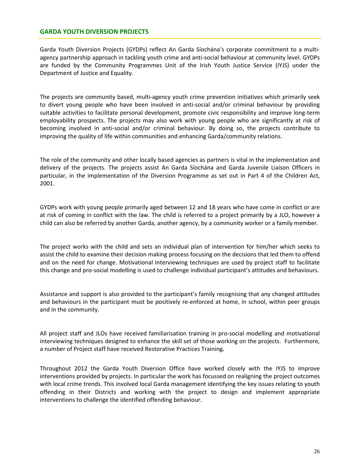## GARDA YOUTH DIVERSION PROJECTS

Garda Youth Diversion Projects (GYDPs) reflect An Garda Síochána's corporate commitment to a multiagency partnership approach in tackling youth crime and anti-social behaviour at community level. GYDPs are funded by the Community Programmes Unit of the Irish Youth Justice Service (IYJS) under the Department of Justice and Equality.

The projects are community based, multi-agency youth crime prevention initiatives which primarily seek to divert young people who have been involved in anti-social and/or criminal behaviour by providing suitable activities to facilitate personal development, promote civic responsibility and improve long-term employability prospects. The projects may also work with young people who are significantly at risk of becoming involved in anti-social and/or criminal behaviour. By doing so, the projects contribute to improving the quality of life within communities and enhancing Garda/community relations.

The role of the community and other locally based agencies as partners is vital in the implementation and delivery of the projects. The projects assist An Garda Síochána and Garda Juvenile Liaison Officers in particular, in the implementation of the Diversion Programme as set out in Part 4 of the Children Act, 2001.

GYDPs work with young people primarily aged between 12 and 18 years who have come in conflict or are at risk of coming in conflict with the law. The child is referred to a project primarily by a JLO, however a child can also be referred by another Garda, another agency, by a community worker or a family member.

The project works with the child and sets an individual plan of intervention for him/her which seeks to assist the child to examine their decision making process focusing on the decisions that led them to offend and on the need for change. Motivational interviewing techniques are used by project staff to facilitate this change and pro-social modelling is used to challenge individual participant's attitudes and behaviours.

Assistance and support is also provided to the participant's family recognising that any changed attitudes and behaviours in the participant must be positively re-enforced at home, in school, within peer groups and in the community.

All project staff and JLOs have received familiarisation training in pro-social modelling and motivational interviewing techniques designed to enhance the skill set of those working on the projects. Furthermore, a number of Project staff have received Restorative Practices Training.

Throughout 2012 the Garda Youth Diversion Office have worked closely with the IYJS to improve interventions provided by projects. In particular the work has focussed on realigning the project outcomes with local crime trends. This involved local Garda management identifying the key issues relating to youth offending in their Districts and working with the project to design and implement appropriate interventions to challenge the identified offending behaviour.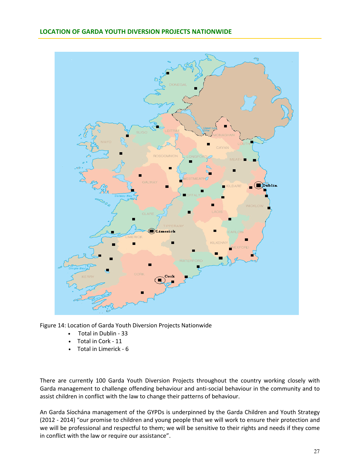## LOCATION OF GARDA YOUTH DIVERSION PROJECTS NATIONWIDE



Figure 14: Location of Garda Youth Diversion Projects Nationwide

- Total in Dublin 33
- Total in Cork 11
- Total in Limerick 6

There are currently 100 Garda Youth Diversion Projects throughout the country working closely with Garda management to challenge offending behaviour and anti-social behaviour in the community and to assist children in conflict with the law to change their patterns of behaviour.

An Garda Síochána management of the GYPDs is underpinned by the Garda Children and Youth Strategy (2012 - 2014) "our promise to children and young people that we will work to ensure their protection and we will be professional and respectful to them; we will be sensitive to their rights and needs if they come in conflict with the law or require our assistance".